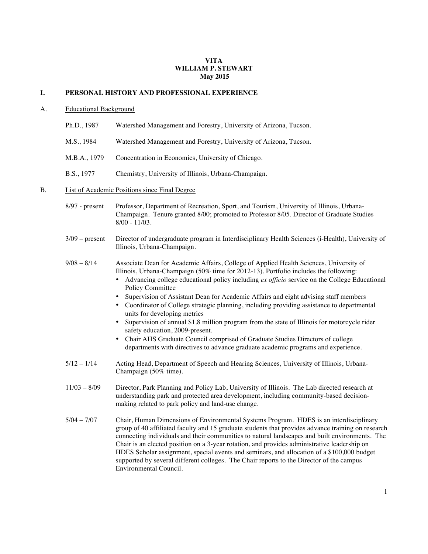### **VITA WILLIAM P. STEWART May 2015**

### **I. PERSONAL HISTORY AND PROFESSIONAL EXPERIENCE**

#### A. Educational Background

- Ph.D., 1987 Watershed Management and Forestry, University of Arizona, Tucson.
- M.S., 1984 Watershed Management and Forestry, University of Arizona, Tucson.
- M.B.A., 1979 Concentration in Economics, University of Chicago.
- B.S., 1977 Chemistry, University of Illinois, Urbana-Champaign.

#### B. List of Academic Positions since Final Degree

- 8/97 present Professor, Department of Recreation, Sport, and Tourism, University of Illinois, Urbana-Champaign. Tenure granted 8/00; promoted to Professor 8/05. Director of Graduate Studies 8/00 - 11/03.
- 3/09 present Director of undergraduate program in Interdisciplinary Health Sciences (i-Health), University of Illinois, Urbana-Champaign.
- 9/08 8/14 Associate Dean for Academic Affairs, College of Applied Health Sciences, University of Illinois, Urbana-Champaign (50% time for 2012-13). Portfolio includes the following:
	- Advancing college educational policy including *ex officio* service on the College Educational Policy Committee
	- Supervision of Assistant Dean for Academic Affairs and eight advising staff members
	- Coordinator of College strategic planning, including providing assistance to departmental units for developing metrics
	- Supervision of annual \$1.8 million program from the state of Illinois for motorcycle rider safety education, 2009-present.
	- Chair AHS Graduate Council comprised of Graduate Studies Directors of college departments with directives to advance graduate academic programs and experience.
- 5/12 1/14 Acting Head, Department of Speech and Hearing Sciences, University of Illinois, Urbana-Champaign (50% time).
- 11/03 8/09 Director, Park Planning and Policy Lab, University of Illinois. The Lab directed research at understanding park and protected area development, including community-based decisionmaking related to park policy and land-use change.
- 5/04 7/07 Chair, Human Dimensions of Environmental Systems Program. HDES is an interdisciplinary group of 40 affiliated faculty and 15 graduate students that provides advance training on research connecting individuals and their communities to natural landscapes and built environments. The Chair is an elected position on a 3-year rotation, and provides administrative leadership on HDES Scholar assignment, special events and seminars, and allocation of a \$100,000 budget supported by several different colleges. The Chair reports to the Director of the campus Environmental Council.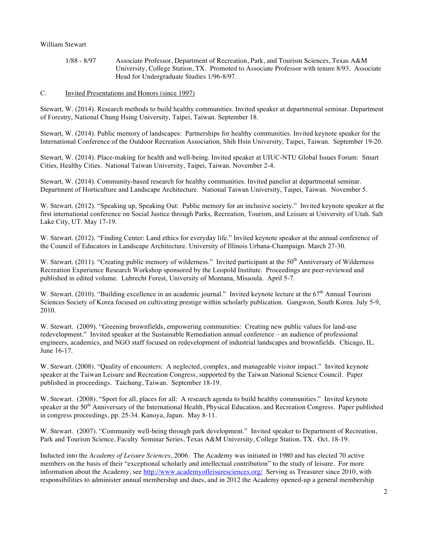1/88 - 8/97 Associate Professor, Department of Recreation, Park, and Tourism Sciences, Texas A&M University, College Station, TX. Promoted to Associate Professor with tenure 8/93. Associate Head for Undergraduate Studies 1/96-8/97.

# C. Invited Presentations and Honors (since 1997)

Stewart, W. (2014). Research methods to build healthy communities. Invited speaker at departmental seminar. Department of Forestry, National Chung Hsing University, Taipei, Taiwan. September 18.

Stewart, W. (2014). Public memory of landscapes: Partnerships for healthy communities. Invited keynote speaker for the International Conference of the Outdoor Recreation Association, Shih Hsin University, Taipei, Taiwan. September 19-20.

Stewart, W. (2014). Place-making for health and well-being. Invited speaker at UIUC-NTU Global Issues Forum: Smart Cities, Healthy Cities. National Taiwan University, Taipei, Taiwan. November 2-4.

Stewart, W. (2014). Community-based research for healthy communities. Invited panelist at departmental seminar. Department of Horticulture and Landscape Architecture. National Taiwan University, Taipei, Taiwan. November 5.

W. Stewart. (2012). "Speaking up, Speaking Out: Public memory for an inclusive society." Invited keynote speaker at the first international conference on Social Justice through Parks, Recreation, Tourism, and Leisure at University of Utah. Salt Lake City, UT. May 17-19.

W. Stewart. (2012). "Finding Center: Land ethics for everyday life." Invited keynote speaker at the annual conference of the Council of Educators in Landscape Architecture. University of Illinois Urbana-Champaign. March 27-30.

W. Stewart. (2011). "Creating public memory of wilderness." Invited participant at the  $50<sup>th</sup>$  Anniversary of Wilderness Recreation Experience Research Workshop sponsored by the Leopold Institute. Proceedings are peer-reviewed and published in edited volume. Lubrecht Forest, University of Montana, Missoula. April 5-7.

W. Stewart. (2010). "Building excellence in an academic journal." Invited keynote lecture at the  $67<sup>th</sup>$  Annual Tourism Sciences Society of Korea focused on cultivating prestige within scholarly publication. Gangwon, South Korea. July 5-9, 2010.

W. Stewart. (2009). "Greening brownfields, empowering communities: Creating new public values for land-use redevelopment." Invited speaker at the Sustainable Remediation annual conference – an audience of professional engineers, academics, and NGO staff focused on redevelopment of industrial landscapes and brownfields. Chicago, IL. June 16-17.

W. Stewart. (2008). "Quality of encounters: A neglected, complex, and manageable visitor impact." Invited keynote speaker at the Taiwan Leisure and Recreation Congress, supported by the Taiwan National Science Council. Paper published in proceedings. Taichung, Taiwan. September 18-19.

W. Stewart. (2008). "Sport for all, places for all: A research agenda to build healthy communities." Invited keynote speaker at the  $50<sup>th</sup>$  Anniversary of the International Health, Physical Education, and Recreation Congress. Paper published in congress proceedings, pp. 25-34. Kanoya, Japan. May 8-11.

W. Stewart. (2007). "Community well-being through park development." Invited speaker to Department of Recreation, Park and Tourism Science, Faculty Seminar Series, Texas A&M University, College Station, TX. Oct. 18-19.

Inducted into the *Academy of Leisure Sciences*, 2006. The Academy was initiated in 1980 and has elected 70 active members on the basis of their "exceptional scholarly and intellectual contribution" to the study of leisure. For more information about the Academy, see http://www.academyofleisuresciences.org/ Serving as Treasurer since 2010, with responsibilities to administer annual membership and dues, and in 2012 the Academy opened-up a general membership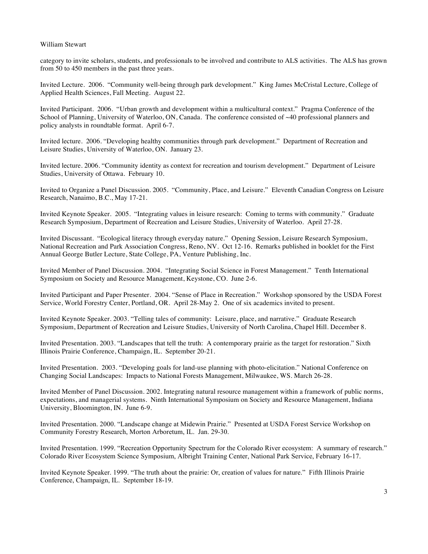category to invite scholars, students, and professionals to be involved and contribute to ALS activities. The ALS has grown from 50 to 450 members in the past three years.

Invited Lecture. 2006. "Community well-being through park development." King James McCristal Lecture, College of Applied Health Sciences, Fall Meeting. August 22.

Invited Participant. 2006. "Urban growth and development within a multicultural context." Pragma Conference of the School of Planning, University of Waterloo, ON, Canada. The conference consisted of ~40 professional planners and policy analysts in roundtable format. April 6-7.

Invited lecture. 2006. "Developing healthy communities through park development." Department of Recreation and Leisure Studies, University of Waterloo, ON. January 23.

Invited lecture. 2006. "Community identity as context for recreation and tourism development." Department of Leisure Studies, University of Ottawa. February 10.

Invited to Organize a Panel Discussion. 2005. "Community, Place, and Leisure." Eleventh Canadian Congress on Leisure Research, Nanaimo, B.C., May 17-21.

Invited Keynote Speaker. 2005. "Integrating values in leisure research: Coming to terms with community." Graduate Research Symposium, Department of Recreation and Leisure Studies, University of Waterloo. April 27-28.

Invited Discussant. "Ecological literacy through everyday nature." Opening Session, Leisure Research Symposium, National Recreation and Park Association Congress, Reno, NV. Oct 12-16. Remarks published in booklet for the First Annual George Butler Lecture, State College, PA, Venture Publishing, Inc.

Invited Member of Panel Discussion. 2004. "Integrating Social Science in Forest Management." Tenth International Symposium on Society and Resource Management, Keystone, CO. June 2-6.

Invited Participant and Paper Presenter. 2004. "Sense of Place in Recreation." Workshop sponsored by the USDA Forest Service, World Forestry Center, Portland, OR. April 28-May 2. One of six academics invited to present.

Invited Keynote Speaker. 2003. "Telling tales of community: Leisure, place, and narrative." Graduate Research Symposium, Department of Recreation and Leisure Studies, University of North Carolina, Chapel Hill. December 8.

Invited Presentation. 2003. "Landscapes that tell the truth: A contemporary prairie as the target for restoration." Sixth Illinois Prairie Conference, Champaign, IL. September 20-21.

Invited Presentation. 2003. "Developing goals for land-use planning with photo-elicitation." National Conference on Changing Social Landscapes: Impacts to National Forests Management, Milwaukee, WS. March 26-28.

Invited Member of Panel Discussion. 2002. Integrating natural resource management within a framework of public norms, expectations, and managerial systems. Ninth International Symposium on Society and Resource Management, Indiana University, Bloomington, IN. June 6-9.

Invited Presentation. 2000. "Landscape change at Midewin Prairie." Presented at USDA Forest Service Workshop on Community Forestry Research, Morton Arboretum, IL. Jan. 29-30.

Invited Presentation. 1999. "Recreation Opportunity Spectrum for the Colorado River ecosystem: A summary of research." Colorado River Ecosystem Science Symposium, Albright Training Center, National Park Service, February 16-17.

Invited Keynote Speaker. 1999. "The truth about the prairie: Or, creation of values for nature." Fifth Illinois Prairie Conference, Champaign, IL. September 18-19.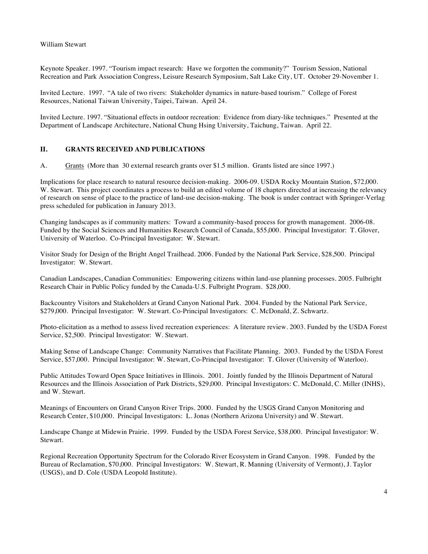Keynote Speaker. 1997. "Tourism impact research: Have we forgotten the community?" Tourism Session, National Recreation and Park Association Congress, Leisure Research Symposium, Salt Lake City, UT. October 29-November 1.

Invited Lecture. 1997. "A tale of two rivers: Stakeholder dynamics in nature-based tourism." College of Forest Resources, National Taiwan University, Taipei, Taiwan. April 24.

Invited Lecture. 1997. "Situational effects in outdoor recreation: Evidence from diary-like techniques." Presented at the Department of Landscape Architecture, National Chung Hsing University, Taichung, Taiwan. April 22.

### **II. GRANTS RECEIVED AND PUBLICATIONS**

A. Grants (More than 30 external research grants over \$1.5 million. Grants listed are since 1997.)

Implications for place research to natural resource decision-making. 2006-09. USDA Rocky Mountain Station, \$72,000. W. Stewart. This project coordinates a process to build an edited volume of 18 chapters directed at increasing the relevancy of research on sense of place to the practice of land-use decision-making. The book is under contract with Springer-Verlag press scheduled for publication in January 2013.

Changing landscapes as if community matters: Toward a community-based process for growth management. 2006-08. Funded by the Social Sciences and Humanities Research Council of Canada, \$55,000. Principal Investigator: T. Glover, University of Waterloo. Co-Principal Investigator: W. Stewart.

Visitor Study for Design of the Bright Angel Trailhead. 2006. Funded by the National Park Service, \$28,500. Principal Investigator: W. Stewart.

Canadian Landscapes, Canadian Communities: Empowering citizens within land-use planning processes. 2005. Fulbright Research Chair in Public Policy funded by the Canada-U.S. Fulbright Program. \$28,000.

Backcountry Visitors and Stakeholders at Grand Canyon National Park. 2004. Funded by the National Park Service, \$279,000. Principal Investigator: W. Stewart. Co-Principal Investigators: C. McDonald, Z. Schwartz.

Photo-elicitation as a method to assess lived recreation experiences: A literature review. 2003. Funded by the USDA Forest Service, \$2,500. Principal Investigator: W. Stewart.

Making Sense of Landscape Change: Community Narratives that Facilitate Planning. 2003. Funded by the USDA Forest Service, \$57,000. Principal Investigator: W. Stewart, Co-Principal Investigator: T. Glover (University of Waterloo).

Public Attitudes Toward Open Space Initiatives in Illinois. 2001. Jointly funded by the Illinois Department of Natural Resources and the Illinois Association of Park Districts, \$29,000. Principal Investigators: C. McDonald, C. Miller (INHS), and W. Stewart.

Meanings of Encounters on Grand Canyon River Trips. 2000. Funded by the USGS Grand Canyon Monitoring and Research Center, \$10,000. Principal Investigators: L. Jonas (Northern Arizona University) and W. Stewart.

Landscape Change at Midewin Prairie. 1999. Funded by the USDA Forest Service, \$38,000. Principal Investigator: W. Stewart.

Regional Recreation Opportunity Spectrum for the Colorado River Ecosystem in Grand Canyon. 1998. Funded by the Bureau of Reclamation, \$70,000. Principal Investigators: W. Stewart, R. Manning (University of Vermont), J. Taylor (USGS), and D. Cole (USDA Leopold Institute).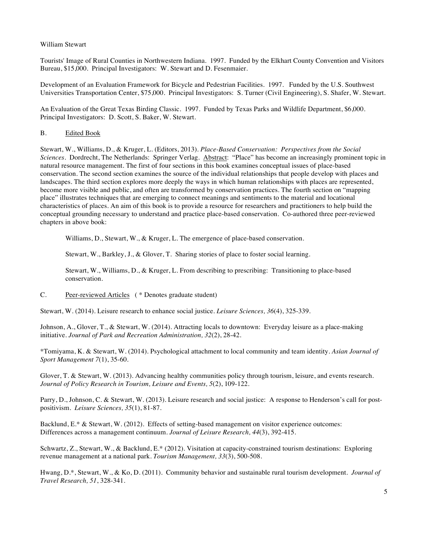Tourists' Image of Rural Counties in Northwestern Indiana. 1997. Funded by the Elkhart County Convention and Visitors Bureau, \$15,000. Principal Investigators: W. Stewart and D. Fesenmaier.

Development of an Evaluation Framework for Bicycle and Pedestrian Facilities. 1997. Funded by the U.S. Southwest Universities Transportation Center, \$75,000. Principal Investigators: S. Turner (Civil Engineering), S. Shafer, W. Stewart.

An Evaluation of the Great Texas Birding Classic. 1997. Funded by Texas Parks and Wildlife Department, \$6,000. Principal Investigators: D. Scott, S. Baker, W. Stewart.

### B. Edited Book

Stewart, W., Williams, D., & Kruger, L. (Editors, 2013). *Place-Based Conservation: Perspectives from the Social Sciences*. Dordrecht, The Netherlands: Springer Verlag. Abstract: "Place" has become an increasingly prominent topic in natural resource management. The first of four sections in this book examines conceptual issues of place-based conservation. The second section examines the source of the individual relationships that people develop with places and landscapes. The third section explores more deeply the ways in which human relationships with places are represented, become more visible and public, and often are transformed by conservation practices. The fourth section on "mapping place" illustrates techniques that are emerging to connect meanings and sentiments to the material and locational characteristics of places. An aim of this book is to provide a resource for researchers and practitioners to help build the conceptual grounding necessary to understand and practice place-based conservation. Co-authored three peer-reviewed chapters in above book:

Williams, D., Stewart, W., & Kruger, L. The emergence of place-based conservation.

Stewart, W., Barkley, J., & Glover, T. Sharing stories of place to foster social learning.

Stewart, W., Williams, D., & Kruger, L. From describing to prescribing: Transitioning to place-based conservation.

C. Peer-reviewed Articles ( \* Denotes graduate student)

Stewart, W. (2014). Leisure research to enhance social justice. *Leisure Sciences, 36*(4), 325-339.

Johnson, A., Glover, T., & Stewart, W. (2014). Attracting locals to downtown: Everyday leisure as a place-making initiative*. Journal of Park and Recreation Administration, 32*(2), 28-42.

\*Tomiyama, K. & Stewart, W. (2014). Psychological attachment to local community and team identity. *Asian Journal of Sport Management 7*(1), 35-60.

Glover, T. & Stewart, W. (2013). Advancing healthy communities policy through tourism, leisure, and events research. *Journal of Policy Research in Tourism, Leisure and Events, 5*(2), 109-122.

Parry, D., Johnson, C. & Stewart, W. (2013). Leisure research and social justice: A response to Henderson's call for postpositivism*. Leisure Sciences, 35*(1), 81-87.

Backlund, E.\* & Stewart, W. (2012). Effects of setting-based management on visitor experience outcomes: Differences across a management continuum. *Journal of Leisure Research, 44*(3), 392-415.

Schwartz, Z., Stewart, W., & Backlund, E.\* (2012). Visitation at capacity-constrained tourism destinations: Exploring revenue management at a national park. *Tourism Management, 33*(3), 500-508.

Hwang, D.\*, Stewart, W., & Ko, D. (2011). Community behavior and sustainable rural tourism development*. Journal of Travel Research, 51*, 328-341.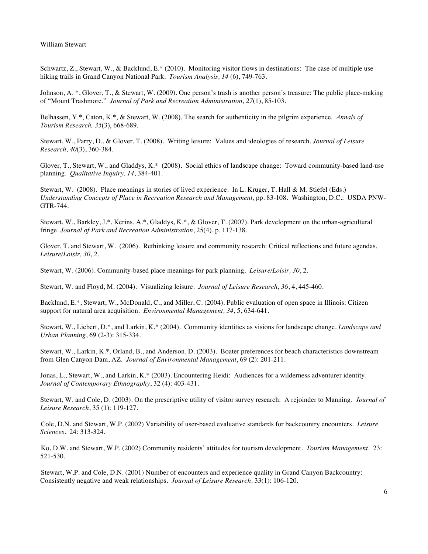Schwartz, Z., Stewart, W., & Backlund, E.\* (2010). Monitoring visitor flows in destinations: The case of multiple use hiking trails in Grand Canyon National Park. *Tourism Analysis, 14* (6), 749-763.

Johnson, A. \*, Glover, T., & Stewart, W. (2009). One person's trash is another person's treasure: The public place-making of "Mount Trashmore." *Journal of Park and Recreation Administration, 27*(1), 85-103.

Belhassen, Y.\*, Caton, K.\*, & Stewart, W. (2008). The search for authenticity in the pilgrim experience. *Annals of Tourism Research, 35*(3), 668-689.

Stewart, W., Parry, D., & Glover, T. (2008). Writing leisure: Values and ideologies of research. *Journal of Leisure Research, 40*(3), 360-384.

Glover, T., Stewart, W., and Gladdys, K.\* (2008). Social ethics of landscape change: Toward community-based land-use planning. *Qualitative Inquiry, 14*, 384-401.

Stewart, W. (2008). Place meanings in stories of lived experience. In L. Kruger, T. Hall & M. Stiefel (Eds.) *Understanding Concepts of Place in Recreation Research and Management,* pp. 83-108*.* Washington, D.C.: USDA PNW-GTR-744.

Stewart, W., Barkley, J.\*, Kerins, A.\*, Gladdys, K.\*, & Glover, T. (2007). Park development on the urban-agricultural fringe. *Journal of Park and Recreation Administration*, 25(4), p. 117-138.

Glover, T. and Stewart, W. (2006). Rethinking leisure and community research: Critical reflections and future agendas. *Leisure/Loisir, 30*, 2.

Stewart, W. (2006). Community-based place meanings for park planning. *Leisure/Loisir, 30*, 2.

Stewart, W. and Floyd, M. (2004). Visualizing leisure. *Journal of Leisure Research, 36*, 4, 445-460.

Backlund, E.\*, Stewart, W., McDonald, C., and Miller, C. (2004). Public evaluation of open space in Illinois: Citizen support for natural area acquisition. *Environmental Management, 34*, 5, 634-641.

Stewart, W., Liebert, D.\*, and Larkin, K.\* (2004). Community identities as visions for landscape change. *Landscape and Urban Planning*, 69 (2-3): 315-334.

Stewart, W., Larkin, K.\*, Orland, B., and Anderson, D. (2003). Boater preferences for beach characteristics downstream from Glen Canyon Dam, AZ. *Journal of Environmental Management*, 69 (2): 201-211.

Jonas, L., Stewart, W., and Larkin, K.\* (2003). Encountering Heidi: Audiences for a wilderness adventurer identity. *Journal of Contemporary Ethnography*, 32 (4): 403-431.

Stewart, W. and Cole, D. (2003). On the prescriptive utility of visitor survey research: A rejoinder to Manning. *Journal of Leisure Research*, 35 (1): 119-127.

Cole, D.N. and Stewart, W.P. (2002) Variability of user-based evaluative standards for backcountry encounters. *Leisure Sciences*. 24: 313-324.

Ko, D.W. and Stewart, W.P. (2002) Community residents' attitudes for tourism development. *Tourism Management*. 23: 521-530.

Stewart, W.P. and Cole, D.N. (2001) Number of encounters and experience quality in Grand Canyon Backcountry: Consistently negative and weak relationships. *Journal of Leisure Research*. 33(1): 106-120.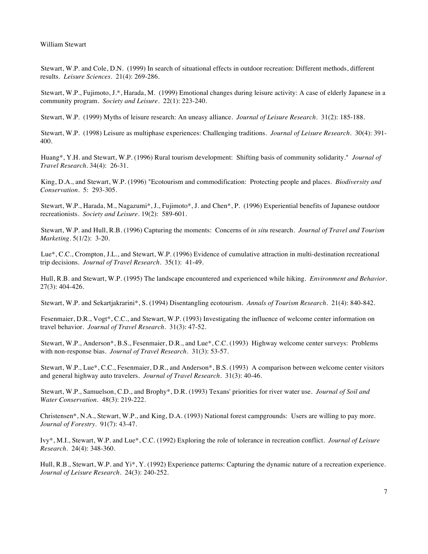Stewart, W.P. and Cole, D.N. (1999) In search of situational effects in outdoor recreation: Different methods, different results. *Leisure Sciences*. 21(4): 269-286.

Stewart, W.P., Fujimoto, J.\*, Harada, M. (1999) Emotional changes during leisure activity: A case of elderly Japanese in a community program. *Society and Leisure*. 22(1): 223-240.

Stewart, W.P. (1999) Myths of leisure research: An uneasy alliance. *Journal of Leisure Research*. 31(2): 185-188.

Stewart, W.P. (1998) Leisure as multiphase experiences: Challenging traditions. *Journal of Leisure Research*. 30(4): 391- 400.

Huang\*, Y.H. and Stewart, W.P. (1996) Rural tourism development: Shifting basis of community solidarity." *Journal of Travel Research*. 34(4): 26-31.

King, D.A., and Stewart, W.P. (1996) "Ecotourism and commodification: Protecting people and places. *Biodiversity and Conservation*. 5: 293-305.

Stewart, W.P., Harada, M., Nagazumi\*, J., Fujimoto\*, J. and Chen\*, P. (1996) Experiential benefits of Japanese outdoor recreationists. *Society and Leisure*. 19(2): 589-601.

Stewart, W.P. and Hull, R.B. (1996) Capturing the moments: Concerns of *in situ* research. *Journal of Travel and Tourism Marketing*. 5(1/2): 3-20.

Lue\*, C.C., Crompton, J.L., and Stewart, W.P. (1996) Evidence of cumulative attraction in multi-destination recreational trip decisions. *Journal of Travel Research*. 35(1): 41-49.

Hull, R.B. and Stewart, W.P. (1995) The landscape encountered and experienced while hiking. *Environment and Behavior*. 27(3): 404-426.

Stewart, W.P. and Sekartjakrarini\*, S. (1994) Disentangling ecotourism. *Annals of Tourism Research*. 21(4): 840-842.

Fesenmaier, D.R., Vogt\*, C.C., and Stewart, W.P. (1993) Investigating the influence of welcome center information on travel behavior. *Journal of Travel Research*. 31(3): 47-52.

Stewart, W.P., Anderson\*, B.S., Fesenmaier, D.R., and Lue\*, C.C. (1993) Highway welcome center surveys: Problems with non-response bias. *Journal of Travel Research*. 31(3): 53-57.

Stewart, W.P., Lue\*, C.C., Fesenmaier, D.R., and Anderson\*, B.S. (1993) A comparison between welcome center visitors and general highway auto travelers. *Journal of Travel Research*. 31(3): 40-46.

Stewart, W.P., Samuelson, C.D., and Brophy\*, D.R. (1993) Texans' priorities for river water use. *Journal of Soil and Water Conservation*. 48(3): 219-222.

Christensen\*, N.A., Stewart, W.P., and King, D.A. (1993) National forest campgrounds: Users are willing to pay more. *Journal of Forestry*. 91(7): 43-47.

Ivy\*, M.I., Stewart, W.P. and Lue\*, C.C. (1992) Exploring the role of tolerance in recreation conflict. *Journal of Leisure Research*. 24(4): 348-360.

Hull, R.B., Stewart, W.P. and Yi\*, Y. (1992) Experience patterns: Capturing the dynamic nature of a recreation experience. *Journal of Leisure Research*. 24(3): 240-252.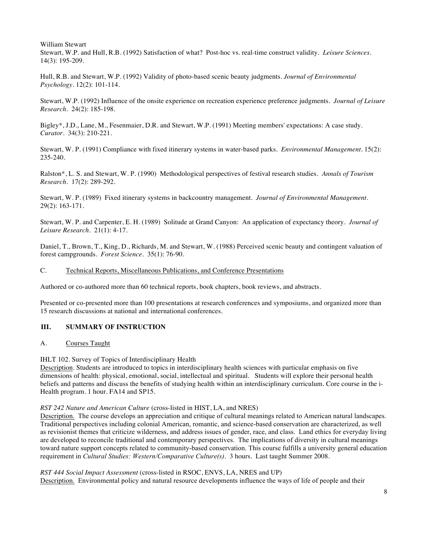William Stewart Stewart, W.P. and Hull, R.B. (1992) Satisfaction of what? Post-hoc vs. real-time construct validity. *Leisure Sciences*. 14(3): 195-209.

Hull, R.B. and Stewart, W.P. (1992) Validity of photo-based scenic beauty judgments. *Journal of Environmental Psychology*. 12(2): 101-114.

Stewart, W.P. (1992) Influence of the onsite experience on recreation experience preference judgments. *Journal of Leisure Research*. 24(2): 185-198.

Bigley\*, J.D., Lane, M., Fesenmaier, D.R. and Stewart, W.P. (1991) Meeting members' expectations: A case study. *Curator*. 34(3): 210-221.

Stewart, W. P. (1991) Compliance with fixed itinerary systems in water-based parks. *Environmental Management*. 15(2): 235-240.

Ralston\*, L. S. and Stewart, W. P. (1990) Methodological perspectives of festival research studies. *Annals of Tourism Research*. 17(2): 289-292.

Stewart, W. P. (1989) Fixed itinerary systems in backcountry management. *Journal of Environmental Management*. 29(2): 163-171.

Stewart, W. P. and Carpenter, E. H. (1989) Solitude at Grand Canyon: An application of expectancy theory. *Journal of Leisure Research*. 21(1): 4-17.

Daniel, T., Brown, T., King, D., Richards, M. and Stewart, W. (1988) Perceived scenic beauty and contingent valuation of forest campgrounds. *Forest Science*. 35(1): 76-90.

### C. Technical Reports, Miscellaneous Publications, and Conference Presentations

Authored or co-authored more than 60 technical reports, book chapters, book reviews, and abstracts.

Presented or co-presented more than 100 presentations at research conferences and symposiums, and organized more than 15 research discussions at national and international conferences.

### **III. SUMMARY OF INSTRUCTION**

### A. Courses Taught

IHLT 102. Survey of Topics of Interdisciplinary Health

Description. Students are introduced to topics in interdisciplinary health sciences with particular emphasis on five dimensions of health: physical, emotional, social, intellectual and spiritual. Students will explore their personal health beliefs and patterns and discuss the benefits of studying health within an interdisciplinary curriculum. Core course in the i-Health program. 1 hour. FA14 and SP15.

### *RST 242 Nature and American Culture* (cross-listed in HIST, LA, and NRES)

Description. The course develops an appreciation and critique of cultural meanings related to American natural landscapes. Traditional perspectives including colonial American, romantic, and science-based conservation are characterized, as well as revisionist themes that criticize wilderness, and address issues of gender, race, and class. Land ethics for everyday living are developed to reconcile traditional and contemporary perspectives. The implications of diversity in cultural meanings toward nature support concepts related to community-based conservation. This course fulfills a university general education requirement in *Cultural Studies: Western/Comparative Culture(s)*. 3 hours. Last taught Summer 2008.

*RST 444 Social Impact Assessment* (cross-listed in RSOC, ENVS, LA, NRES and UP) Description. Environmental policy and natural resource developments influence the ways of life of people and their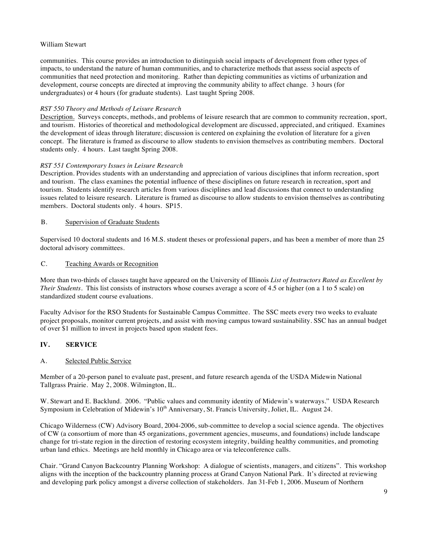communities. This course provides an introduction to distinguish social impacts of development from other types of impacts, to understand the nature of human communities, and to characterize methods that assess social aspects of communities that need protection and monitoring. Rather than depicting communities as victims of urbanization and development, course concepts are directed at improving the community ability to affect change. 3 hours (for undergraduates) or 4 hours (for graduate students). Last taught Spring 2008.

### *RST 550 Theory and Methods of Leisure Research*

Description. Surveys concepts, methods, and problems of leisure research that are common to community recreation, sport, and tourism. Histories of theoretical and methodological development are discussed, appreciated, and critiqued. Examines the development of ideas through literature; discussion is centered on explaining the evolution of literature for a given concept. The literature is framed as discourse to allow students to envision themselves as contributing members. Doctoral students only. 4 hours. Last taught Spring 2008.

### *RST 551 Contemporary Issues in Leisure Research*

Description. Provides students with an understanding and appreciation of various disciplines that inform recreation, sport and tourism. The class examines the potential influence of these disciplines on future research in recreation, sport and tourism. Students identify research articles from various disciplines and lead discussions that connect to understanding issues related to leisure research. Literature is framed as discourse to allow students to envision themselves as contributing members. Doctoral students only. 4 hours. SP15.

### B. Supervision of Graduate Students

Supervised 10 doctoral students and 16 M.S. student theses or professional papers, and has been a member of more than 25 doctoral advisory committees.

### C. Teaching Awards or Recognition

More than two-thirds of classes taught have appeared on the University of Illinois *List of Instructors Rated as Excellent by Their Students*. This list consists of instructors whose courses average a score of 4.5 or higher (on a 1 to 5 scale) on standardized student course evaluations.

Faculty Advisor for the RSO Students for Sustainable Campus Committee. The SSC meets every two weeks to evaluate project proposals, monitor current projects, and assist with moving campus toward sustainability. SSC has an annual budget of over \$1 million to invest in projects based upon student fees.

## **IV. SERVICE**

## A. Selected Public Service

Member of a 20-person panel to evaluate past, present, and future research agenda of the USDA Midewin National Tallgrass Prairie. May 2, 2008. Wilmington, IL.

W. Stewart and E. Backlund. 2006. "Public values and community identity of Midewin's waterways." USDA Research Symposium in Celebration of Midewin's 10<sup>th</sup> Anniversary, St. Francis University, Joliet, IL. August 24.

Chicago Wilderness (CW) Advisory Board, 2004-2006, sub-committee to develop a social science agenda. The objectives of CW (a consortium of more than 45 organizations, government agencies, museums, and foundations) include landscape change for tri-state region in the direction of restoring ecosystem integrity, building healthy communities, and promoting urban land ethics. Meetings are held monthly in Chicago area or via teleconference calls.

Chair. "Grand Canyon Backcountry Planning Workshop: A dialogue of scientists, managers, and citizens". This workshop aligns with the inception of the backcountry planning process at Grand Canyon National Park. It's directed at reviewing and developing park policy amongst a diverse collection of stakeholders. Jan 31-Feb 1, 2006. Museum of Northern